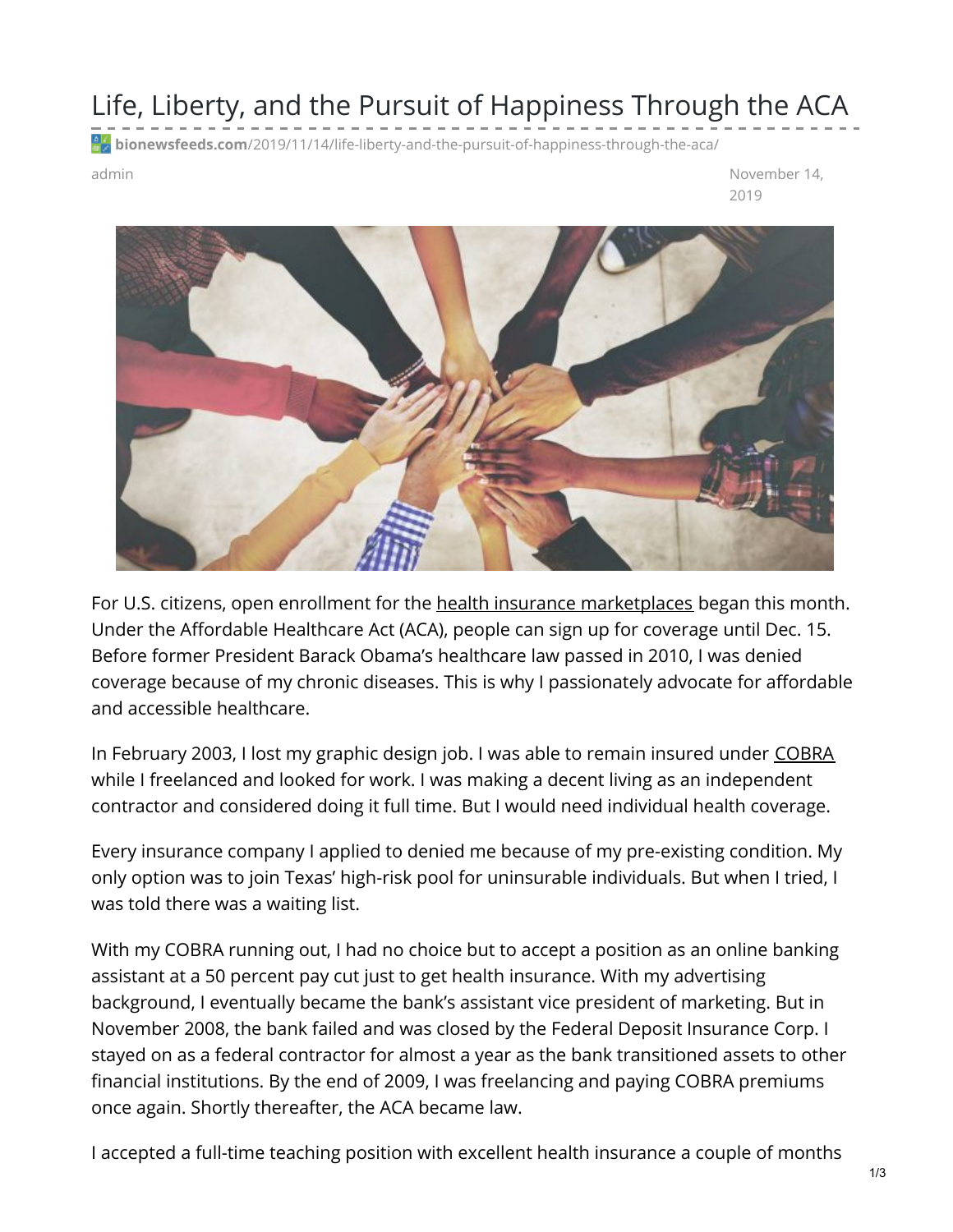## Life, Liberty, and the Pursuit of Happiness Through the ACA

**bionewsfeeds.com**[/2019/11/14/life-liberty-and-the-pursuit-of-happiness-through-the-aca/](https://bionewsfeeds.com/2019/11/14/life-liberty-and-the-pursuit-of-happiness-through-the-aca/)

admin and administered and a structure of the control of the control of the November 14, and the control of the control of the control of the control of the control of the control of the control of the control of the contr 2019



For U.S. citizens, open enrollment for the health insurance [marketplaces](https://www.healthcare.gov/) began this month. Under the Affordable Healthcare Act (ACA), people can sign up for coverage until Dec. 15. Before former President Barack Obama's healthcare law passed in 2010, I was denied coverage because of my chronic diseases. This is why I passionately advocate for affordable and accessible healthcare.

In February 2003, I lost my graphic design job. I was able to remain insured under [COBRA](https://www.dol.gov/agencies/ebsa/workers-and-families/changing-jobs-and-job-loss) while I freelanced and looked for work. I was making a decent living as an independent contractor and considered doing it full time. But I would need individual health coverage.

Every insurance company I applied to denied me because of my pre-existing condition. My only option was to join Texas' high-risk pool for uninsurable individuals. But when I tried, I was told there was a waiting list.

With my COBRA running out, I had no choice but to accept a position as an online banking assistant at a 50 percent pay cut just to get health insurance. With my advertising background, I eventually became the bank's assistant vice president of marketing. But in November 2008, the bank failed and was closed by the Federal Deposit Insurance Corp. I stayed on as a federal contractor for almost a year as the bank transitioned assets to other financial institutions. By the end of 2009, I was freelancing and paying COBRA premiums once again. Shortly thereafter, the ACA became law.

I accepted a full-time teaching position with excellent health insurance a couple of months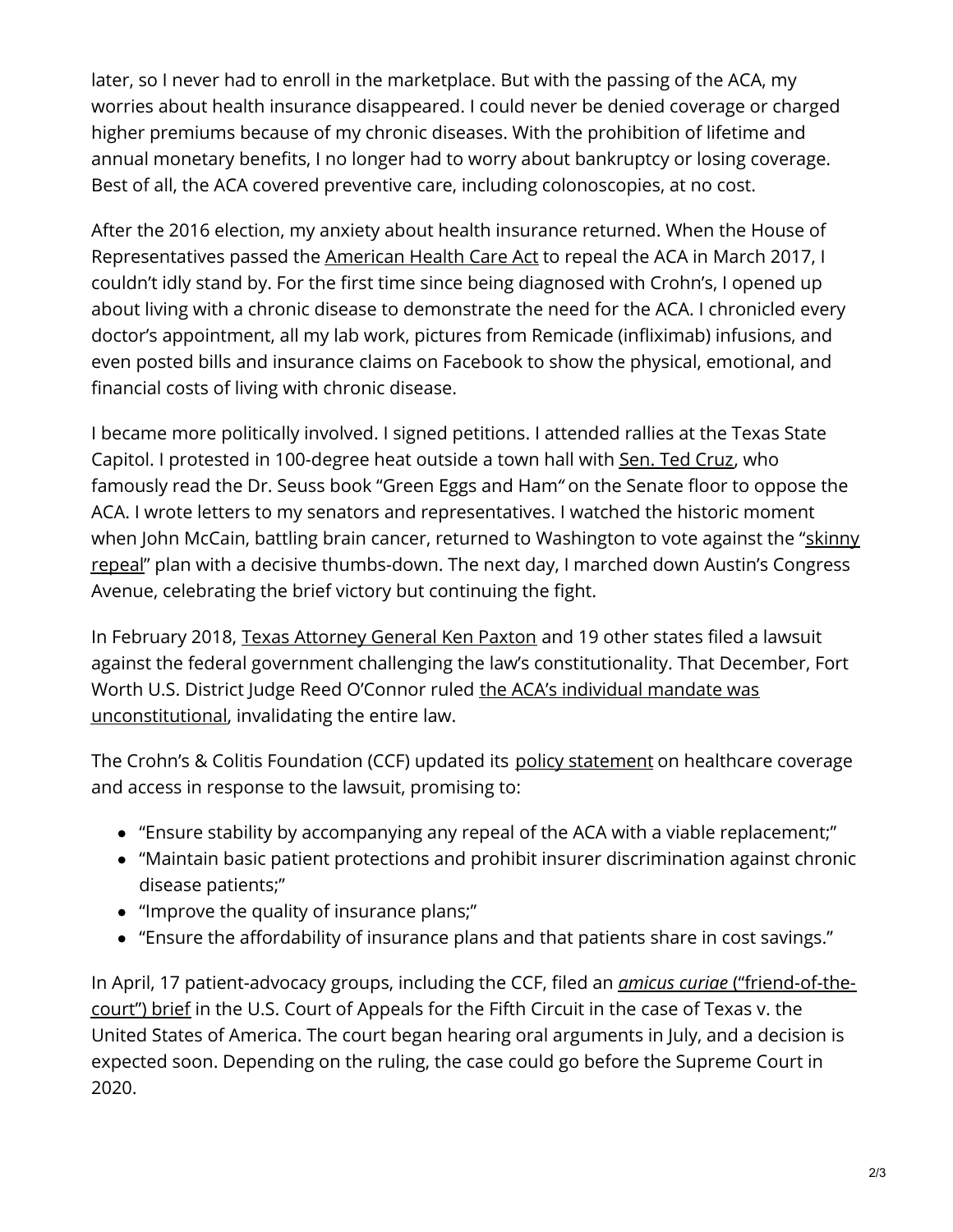later, so I never had to enroll in the marketplace. But with the passing of the ACA, my worries about health insurance disappeared. I could never be denied coverage or charged higher premiums because of my chronic diseases. With the prohibition of lifetime and annual monetary benefits, I no longer had to worry about bankruptcy or losing coverage. Best of all, the ACA covered preventive care, including colonoscopies, at no cost.

After the 2016 election, my anxiety about health insurance returned. When the House of Representatives passed the [American](https://www.congress.gov/bill/115th-congress/house-bill/1628) Health Care Act to repeal the ACA in March 2017, I couldn't idly stand by. For the first time since being diagnosed with Crohn's, I opened up about living with a chronic disease to demonstrate the need for the ACA. I chronicled every doctor's appointment, all my lab work, pictures from Remicade (infliximab) infusions, and even posted bills and insurance claims on Facebook to show the physical, emotional, and financial costs of living with chronic disease.

I became more politically involved. I signed petitions. I attended rallies at the Texas State Capitol. I protested in 100-degree heat outside a town hall with Sen. Ted [Cruz](https://www.cruz.senate.gov/?p=issue&id=34), who famously read the Dr. Seuss book "Green Eggs and Ham*"* on the Senate floor to oppose the ACA. I wrote letters to my senators and representatives. I watched the historic moment when John McCain, battling brain cancer, returned to Washington to vote against the "skinny repeal" plan with a decisive [thumbs-down.](https://www.washingtonpost.com/powerpost/the-night-john-mccain-killed-the-gops-health-care-fight/2017/07/28/f5acce58-7361-11e7-8f39-eeb7d3a2d304_story.html) The next day, I marched down Austin's Congress Avenue, celebrating the brief victory but continuing the fight.

In February 2018, Texas [Attorney](https://www.texasattorneygeneral.gov/news/releases/ag-paxton-and-wisconsin-ag-file-20-state-lawsuit-end-grip-obamacare-texas-and-nation) General Ken Paxton and 19 other states filed a lawsuit against the federal government challenging the law's constitutionality. That December, Fort Worth U.S. District Judge Reed O'Connor ruled the ACA's individual mandate was [unconstitutional,](https://www.texastribune.org/2018/12/14/obamacare-federal-judge-blocks-ken-paxton-unconstitutional/) invalidating the entire law.

The Crohn's & Colitis Foundation (CCF) updated its policy [statement](https://www.crohnscolitisfoundation.org/sites/default/files/2019-06/crohns-healthcare-reform.pdf) on healthcare coverage and access in response to the lawsuit, promising to:

- "Ensure stability by accompanying any repeal of the ACA with a viable replacement;"
- "Maintain basic patient protections and prohibit insurer discrimination against chronic disease patients;"
- "Improve the quality of insurance plans;"
- "Ensure the affordability of insurance plans and that patients share in cost savings."

In April, 17 [patient-advocacy](https://www.fightcancer.org/sites/default/files/National Documents/Amicus Filing.pdf) groups, including the CCF, filed an *amicus curiae* ("friend-of-thecourt") brief in the U.S. Court of Appeals for the Fifth Circuit in the case of Texas v. the United States of America. The court began hearing oral arguments in July, and a decision is expected soon. Depending on the ruling, the case could go before the Supreme Court in 2020.